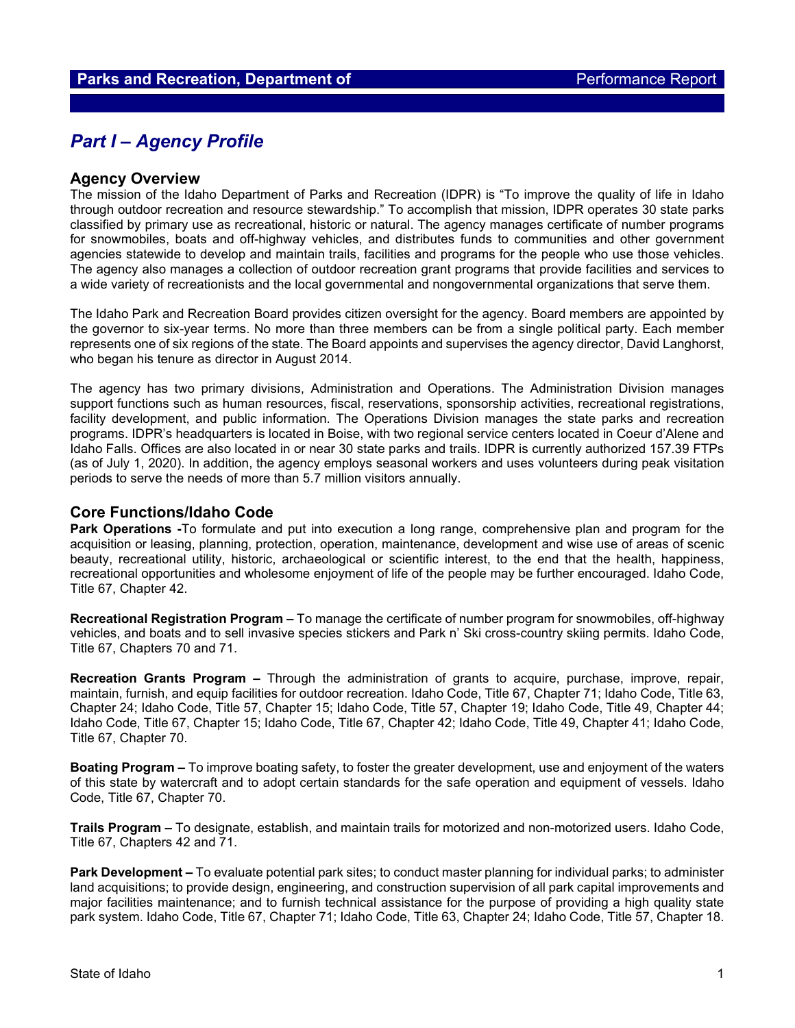## *Part I – Agency Profile*

#### **Agency Overview**

The mission of the Idaho Department of Parks and Recreation (IDPR) is "To improve the quality of life in Idaho through outdoor recreation and resource stewardship." To accomplish that mission, IDPR operates 30 state parks classified by primary use as recreational, historic or natural. The agency manages certificate of number programs for snowmobiles, boats and off-highway vehicles, and distributes funds to communities and other government agencies statewide to develop and maintain trails, facilities and programs for the people who use those vehicles. The agency also manages a collection of outdoor recreation grant programs that provide facilities and services to a wide variety of recreationists and the local governmental and nongovernmental organizations that serve them.

The Idaho Park and Recreation Board provides citizen oversight for the agency. Board members are appointed by the governor to six-year terms. No more than three members can be from a single political party. Each member represents one of six regions of the state. The Board appoints and supervises the agency director, David Langhorst, who began his tenure as director in August 2014.

The agency has two primary divisions, Administration and Operations. The Administration Division manages support functions such as human resources, fiscal, reservations, sponsorship activities, recreational registrations, facility development, and public information. The Operations Division manages the state parks and recreation programs. IDPR's headquarters is located in Boise, with two regional service centers located in Coeur d'Alene and Idaho Falls. Offices are also located in or near 30 state parks and trails. IDPR is currently authorized 157.39 FTPs (as of July 1, 2020). In addition, the agency employs seasonal workers and uses volunteers during peak visitation periods to serve the needs of more than 5.7 million visitors annually.

#### **Core Functions/Idaho Code**

**Park Operations -**To formulate and put into execution a long range, comprehensive plan and program for the acquisition or leasing, planning, protection, operation, maintenance, development and wise use of areas of scenic beauty, recreational utility, historic, archaeological or scientific interest, to the end that the health, happiness, recreational opportunities and wholesome enjoyment of life of the people may be further encouraged. Idaho Code, Title 67, Chapter 42.

**Recreational Registration Program –** To manage the certificate of number program for snowmobiles, off-highway vehicles, and boats and to sell invasive species stickers and Park n' Ski cross-country skiing permits. Idaho Code, Title 67, Chapters 70 and 71.

**Recreation Grants Program –** Through the administration of grants to acquire, purchase, improve, repair, maintain, furnish, and equip facilities for outdoor recreation. Idaho Code, Title 67, Chapter 71; Idaho Code, Title 63, Chapter 24; Idaho Code, Title 57, Chapter 15; Idaho Code, Title 57, Chapter 19; Idaho Code, Title 49, Chapter 44; Idaho Code, Title 67, Chapter 15; Idaho Code, Title 67, Chapter 42; Idaho Code, Title 49, Chapter 41; Idaho Code, Title 67, Chapter 70.

**Boating Program –** To improve boating safety, to foster the greater development, use and enjoyment of the waters of this state by watercraft and to adopt certain standards for the safe operation and equipment of vessels. Idaho Code, Title 67, Chapter 70.

**Trails Program –** To designate, establish, and maintain trails for motorized and non-motorized users. Idaho Code, Title 67, Chapters 42 and 71.

**Park Development –** To evaluate potential park sites; to conduct master planning for individual parks; to administer land acquisitions; to provide design, engineering, and construction supervision of all park capital improvements and major facilities maintenance; and to furnish technical assistance for the purpose of providing a high quality state park system. Idaho Code, Title 67, Chapter 71; Idaho Code, Title 63, Chapter 24; Idaho Code, Title 57, Chapter 18.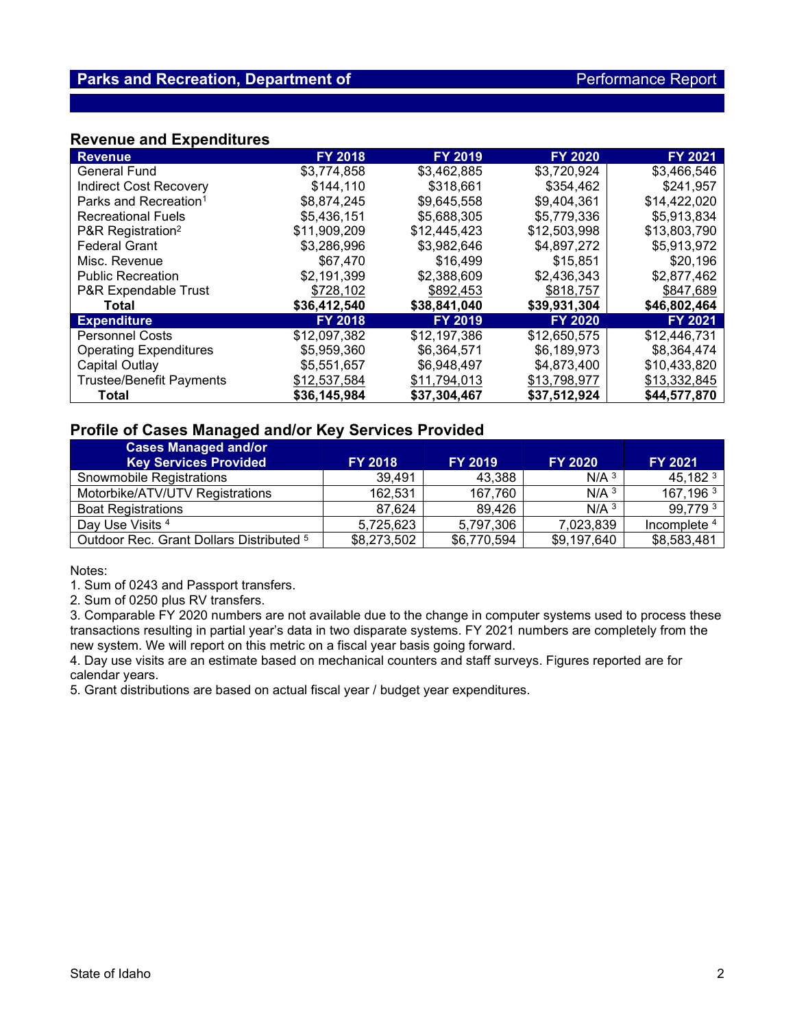### **Revenue and Expenditures**

| <b>Revenue</b>                    | <b>FY 2018</b> | <b>FY 2019</b> | <b>FY 2020</b> | <b>FY 2021</b> |
|-----------------------------------|----------------|----------------|----------------|----------------|
| <b>General Fund</b>               | \$3,774,858    | \$3,462,885    | \$3,720,924    | \$3,466,546    |
| <b>Indirect Cost Recovery</b>     | \$144.110      | \$318,661      | \$354,462      | \$241,957      |
| Parks and Recreation <sup>1</sup> | \$8,874,245    | \$9,645,558    | \$9,404,361    | \$14,422,020   |
| <b>Recreational Fuels</b>         | \$5.436.151    | \$5,688,305    | \$5,779,336    | \$5,913,834    |
| P&R Registration <sup>2</sup>     | \$11,909,209   | \$12,445,423   | \$12,503,998   | \$13,803,790   |
| <b>Federal Grant</b>              | \$3,286,996    | \$3,982,646    | \$4,897,272    | \$5,913,972    |
| Misc. Revenue                     | \$67,470       | \$16,499       | \$15,851       | \$20,196       |
| <b>Public Recreation</b>          | \$2,191,399    | \$2,388,609    | \$2,436,343    | \$2,877,462    |
| P&R Expendable Trust              | \$728,102      | \$892,453      | \$818,757      | \$847,689      |
| Total                             | \$36,412,540   | \$38,841,040   | \$39,931,304   | \$46,802,464   |
| <b>Expenditure</b>                | <b>FY 2018</b> | <b>FY 2019</b> | <b>FY 2020</b> | FY 2021        |
| <b>Personnel Costs</b>            | \$12,097,382   | \$12,197,386   | \$12,650,575   | \$12,446,731   |
| <b>Operating Expenditures</b>     | \$5,959,360    | \$6,364,571    | \$6,189,973    | \$8,364,474    |
| Capital Outlay                    | \$5,551,657    | \$6,948,497    | \$4,873,400    | \$10,433,820   |
| <b>Trustee/Benefit Payments</b>   | \$12,537,584   | \$11,794,013   | \$13,798,977   | \$13,332,845   |
| Total                             | \$36,145,984   | \$37,304,467   | \$37,512,924   | \$44,577,870   |

## **Profile of Cases Managed and/or Key Services Provided**

| <b>Cases Managed and/or</b><br><b>Key Services Provided</b> | <b>FY 2018</b> | <b>FY 2019</b> | <b>FY 2020</b>     | FY 2021                 |
|-------------------------------------------------------------|----------------|----------------|--------------------|-------------------------|
| Snowmobile Registrations                                    | 39.491         | 43.388         | $N/A$ <sup>3</sup> | 45,182 <sup>3</sup>     |
| Motorbike/ATV/UTV Registrations                             | 162,531        | 167,760        | $N/A$ <sup>3</sup> | 167,196 $3$             |
| <b>Boat Registrations</b>                                   | 87,624         | 89.426         | N/A <sup>3</sup>   | 99,779 3                |
| Day Use Visits 4                                            | 5,725,623      | 5,797,306      | 7,023,839          | Incomplete <sup>4</sup> |
| Outdoor Rec. Grant Dollars Distributed 5                    | \$8,273,502    | \$6,770,594    | \$9,197,640        | \$8,583,481             |

Notes:

1. Sum of 0243 and Passport transfers.

2. Sum of 0250 plus RV transfers.

3. Comparable FY 2020 numbers are not available due to the change in computer systems used to process these transactions resulting in partial year's data in two disparate systems. FY 2021 numbers are completely from the new system. We will report on this metric on a fiscal year basis going forward.

4. Day use visits are an estimate based on mechanical counters and staff surveys. Figures reported are for calendar years.

5. Grant distributions are based on actual fiscal year / budget year expenditures.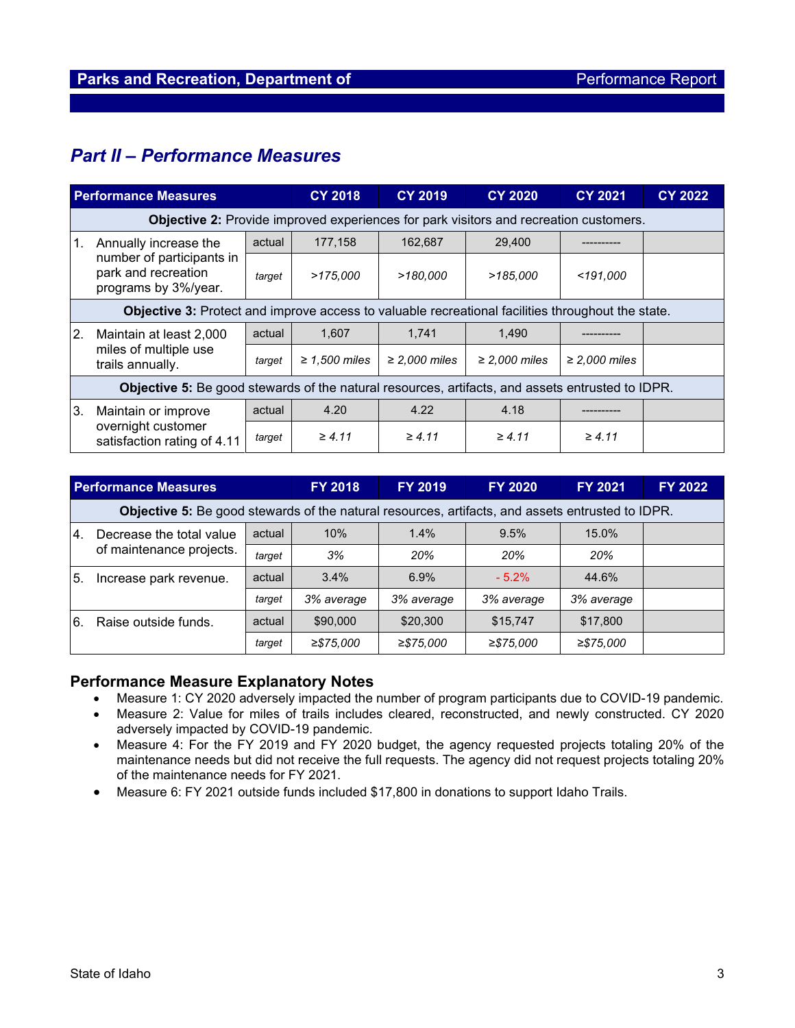# *Part II – Performance Measures*

| <b>Performance Measures</b> |                                                                                                          | <b>CY 2018</b> | <b>CY 2019</b>     | <b>CY 2020</b>     | <b>CY 2021</b>     | <b>CY 2022</b>     |  |  |
|-----------------------------|----------------------------------------------------------------------------------------------------------|----------------|--------------------|--------------------|--------------------|--------------------|--|--|
|                             | <b>Objective 2:</b> Provide improved experiences for park visitors and recreation customers.             |                |                    |                    |                    |                    |  |  |
| 1.                          | Annually increase the<br>number of participants in<br>park and recreation<br>programs by 3%/year.        | actual         | 177,158            | 162,687            | 29,400             |                    |  |  |
|                             |                                                                                                          | target         | >175.000           | >180,000           | >185,000           | <191.000           |  |  |
|                             | <b>Objective 3:</b> Protect and improve access to valuable recreational facilities throughout the state. |                |                    |                    |                    |                    |  |  |
| 2.                          | Maintain at least 2,000<br>miles of multiple use<br>trails annually.                                     | actual         | 1,607              | 1,741              | 1,490              |                    |  |  |
|                             |                                                                                                          | target         | $\geq$ 1.500 miles | $\geq$ 2,000 miles | $\geq$ 2,000 miles | $\geq$ 2,000 miles |  |  |
|                             | Objective 5: Be good stewards of the natural resources, artifacts, and assets entrusted to IDPR.         |                |                    |                    |                    |                    |  |  |
| 3.                          | Maintain or improve<br>overnight customer<br>satisfaction rating of 4.11                                 | actual         | 4.20               | 4.22               | 4.18               |                    |  |  |
|                             |                                                                                                          | target         | $\geq 4.11$        | $\geq 4.11$        | $\geq 4.11$        | $\geq 4.11$        |  |  |

| <b>Performance Measures</b> |                                                                                                  |        | <b>FY 2018</b> | <b>FY 2019</b> | <b>FY 2020</b> | FY 2021      | <b>FY 2022</b> |  |
|-----------------------------|--------------------------------------------------------------------------------------------------|--------|----------------|----------------|----------------|--------------|----------------|--|
|                             | Objective 5: Be good stewards of the natural resources, artifacts, and assets entrusted to IDPR. |        |                |                |                |              |                |  |
| 14.                         | Decrease the total value<br>of maintenance projects.                                             | actual | 10%            | $1.4\%$        | 9.5%           | 15.0%        |                |  |
|                             |                                                                                                  | target | 3%             | 20%            | 20%            | 20%          |                |  |
| 5.                          | Increase park revenue.                                                                           | actual | $3.4\%$        | 6.9%           | $-5.2%$        | 44.6%        |                |  |
|                             |                                                                                                  | target | 3% average     | 3% average     | 3% average     | 3% average   |                |  |
| l6.                         | Raise outside funds.                                                                             | actual | \$90,000       | \$20,300       | \$15,747       | \$17,800     |                |  |
|                             |                                                                                                  | target | $≥$ \$75,000   | $≥$ \$75,000   | $≥$ \$75,000   | $≥$ \$75,000 |                |  |

## **Performance Measure Explanatory Notes**

- Measure 1: CY 2020 adversely impacted the number of program participants due to COVID-19 pandemic.
- Measure 2: Value for miles of trails includes cleared, reconstructed, and newly constructed. CY 2020 adversely impacted by COVID-19 pandemic.
- Measure 4: For the FY 2019 and FY 2020 budget, the agency requested projects totaling 20% of the maintenance needs but did not receive the full requests. The agency did not request projects totaling 20% of the maintenance needs for FY 2021.
- Measure 6: FY 2021 outside funds included \$17,800 in donations to support Idaho Trails.